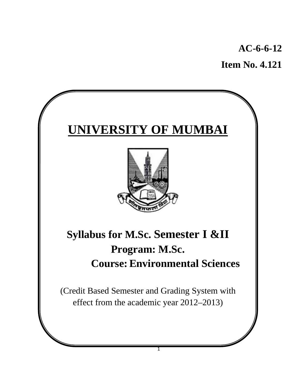**AC-6-6-12** 

**Item No. 4.121** 

# **UNIVERSITY OF MUMBAI**



# **Syllabus for M.Sc. Semester I &II Program: M.Sc. Course:Environmental Sciences**

(Credit Based Semester and Grading System with effect from the academic year 2012–2013)

1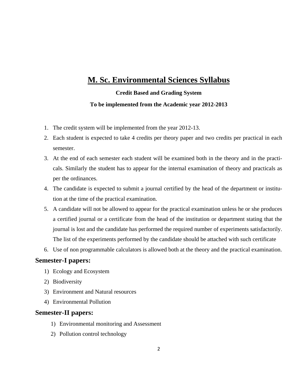## **M. Sc. Environmental Sciences Syllabus**

## **Credit Based and Grading System To be implemented from the Academic year 2012-2013**

- 1. The credit system will be implemented from the year 2012-13.
- 2. Each student is expected to take 4 credits per theory paper and two credits per practical in each semester.
- 3. At the end of each semester each student will be examined both in the theory and in the practicals. Similarly the student has to appear for the internal examination of theory and practicals as per the ordinances.
- 4. The candidate is expected to submit a journal certified by the head of the department or institution at the time of the practical examination.
- 5. A candidate will not be allowed to appear for the practical examination unless he or she produces a certified journal or a certificate from the head of the institution or department stating that the journal is lost and the candidate has performed the required number of experiments satisfactorily. The list of the experiments performed by the candidate should be attached with such certificate
- 6. Use of non programmable calculators is allowed both at the theory and the practical examination.

### **Semester-I papers:**

- 1) Ecology and Ecosystem
- 2) Biodiversity
- 3) Environment and Natural resources
- 4) Environmental Pollution

### **Semester-II papers:**

- 1) Environmental monitoring and Assessment
- 2) Pollution control technology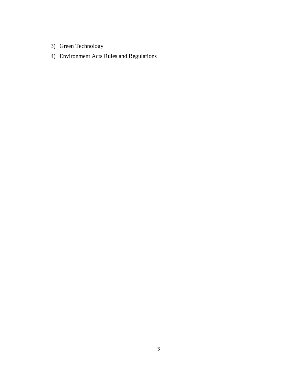- 3) Green Technology
- 4) Environment Acts Rules and Regulations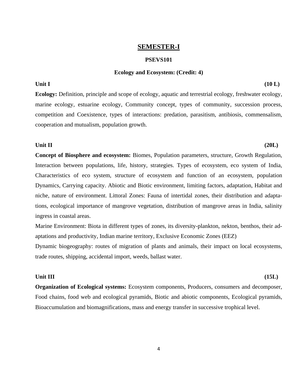#### **SEMESTER-I**

#### **PSEVS101**

#### **Ecology and Ecosystem: (Credit: 4)**

Unit I (10 L)

**Ecology:** Definition, principle and scope of ecology, aquatic and terrestrial ecology, freshwater ecology, marine ecology, estuarine ecology, Community concept, types of community, succession process, competition and Coexistence, types of interactions: predation, parasitism, antibiosis, commensalism, cooperation and mutualism, population growth.

#### **Unit II** (20L)

**Concept of Biosphere and ecosystem:** Biomes, Population parameters, structure, Growth Regulation, Interaction between populations, life, history, strategies. Types of ecosystem, eco system of India, Characteristics of eco system, structure of ecosystem and function of an ecosystem, population Dynamics, Carrying capacity. Abiotic and Biotic environment, limiting factors, adaptation, Habitat and niche, nature of environment. Littoral Zones: Fauna of intertidal zones, their distribution and adaptations, ecological importance of mangrove vegetation, distribution of mangrove areas in India, salinity ingress in coastal areas.

Marine Environment: Biota in different types of zones, its diversity-plankton, nekton, benthos, their adaptations and productivity, Indian marine territory, Exclusive Economic Zones (EEZ)

Dynamic biogeography: routes of migration of plants and animals, their impact on local ecosystems, trade routes, shipping, accidental import, weeds, ballast water.

#### **Unit III** (15L)

**Organization of Ecological systems:** Ecosystem components, Producers, consumers and decomposer, Food chains, food web and ecological pyramids, Biotic and abiotic components, Ecological pyramids, Bioaccumulation and biomagnifications, mass and energy transfer in successive trophical level.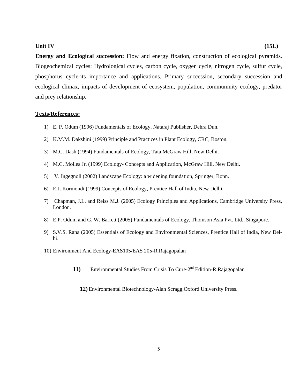#### **Unit IV** (15L)

**Energy and Ecological succession:** Flow and energy fixation, construction of ecological pyramids. Biogeochemical cycles: Hydrological cycles, carbon cycle, oxygen cycle, nitrogen cycle, sulfur cycle, phosphorus cycle-its importance and applications. Primary succession, secondary succession and ecological climax, impacts of development of ecosystem, population, commumnity ecology, predator and prey relationship.

#### **Texts/References:**

- 1) E. P. Odum (1996) Fundamentals of Ecology, Nataraj Publisher, Dehra Dun.
- 2) K.M.M. Dakshini (1999) Principle and Practices in Plant Ecology, CRC, Boston.
- 3) M.C. Dash (1994) Fundamentals of Ecology, Tata McGraw Hill, New Delhi.
- 4) M.C. Molles Jr. (1999) Ecology- Concepts and Application, McGraw Hill, New Delhi.
- 5) V. Ingegnoli (2002) Landscape Ecology: a widening foundation, Springer, Bonn.
- 6) E.J. Kormondi (1999) Concepts of Ecology, Prentice Hall of India, New Delhi.
- 7) Chapman, J.L. and Reiss M.J. (2005) Ecology Principles and Applications, Cambridge University Press, London.
- 8) E.P. Odum and G. W. Barrett (2005) Fundamentals of Ecology, Thomson Asia Pvt. Ltd., Singapore.
- 9) S.V.S. Rana (2005) Essentials of Ecology and Environmental Sciences, Prentice Hall of India, New Delhi.
- 10) Environment And Ecology-EAS105/EAS 205-R.Rajagopalan
	- 11) Environmental Studies From Crisis To Cure-2<sup>nd</sup> Edition-R.Rajagopalan
		- **12)** Environmental Biotechnology-Alan Scragg,Oxford University Press.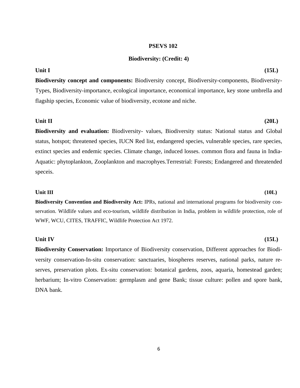#### **PSEVS 102**

#### **Biodiversity: (Credit: 4)**

## **Biodiversity concept and components:** Biodiversity concept, Biodiversity-components, Biodiversity-Types, Biodiversity-importance, ecological importance, economical importance, key stone umbrella and flagship species, Economic value of biodiversity, ecotone and niche.

#### **Unit II** (20L)

**Biodiversity and evaluation:** Biodiversity- values, Biodiversity status: National status and Global status, hotspot; threatened species, IUCN Red list, endangered species, vulnerable species, rare species, extinct species and endemic species. Climate change, induced losses. common flora and fauna in India-Aquatic: phytoplankton, Zooplankton and macrophyes.Terrestrial: Forests; Endangered and threatended speceis.

#### **Unit III** (10L)

**Biodiversity Convention and Biodiversity Act:** IPRs, national and international programs for biodiversity conservation. Wildlife values and eco-tourism, wildlife distribution in India, problem in wildlife protection, role of WWF, WCU, CITES, TRAFFIC, Wildlife Protection Act 1972.

#### **Unit IV** (15L)

**Biodiversity Conservation:** Importance of Biodiversity conservation, Different approaches for Biodiversity conservation-In-situ conservation: sanctuaries, biospheres reserves, national parks, nature reserves, preservation plots. Ex-situ conservation: botanical gardens, zoos, aquaria, homestead garden; herbarium; In-vitro Conservation: germplasm and gene Bank; tissue culture: pollen and spore bank, DNA bank.

#### **Unit I** (15L)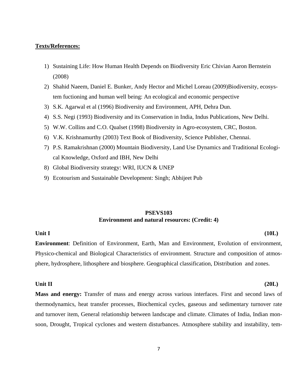#### **Texts/References:**

- 1) Sustaining Life: How Human Health Depends on Biodiversity Eric Chivian Aaron Bernstein (2008)
- 2) Shahid Naeem, Daniel E. Bunker, Andy Hector and Michel Loreau (2009)Biodiversity, ecosystem fuctioning and human well being: An ecological and economic perspective
- 3) S.K. Agarwal et al (1996) Biodiversity and Environment, APH, Dehra Dun.
- 4) S.S. Negi (1993) Biodiversity and its Conservation in India, Indus Publications, New Delhi.
- 5) W.W. Collins and C.O. Qualset (1998) Biodiversity in Agro-ecosystem, CRC, Boston.
- 6) V.K. Krishnamurthy (2003) Text Book of Biodiversity, Science Publisher, Chennai.
- 7) P.S. Ramakrishnan (2000) Mountain Biodiversity, Land Use Dynamics and Traditional Ecological Knowledge, Oxford and IBH, New Delhi
- 8) Global Biodiversity strategy: WRI, IUCN & UNEP
- 9) Ecotourism and Sustainable Development: Singh; Abhijeet Pub

#### **PSEVS103 Environment and natural resources: (Credit: 4)**

#### **Unit I** (10L)

**Environment**: Definition of Environment, Earth, Man and Environment, Evolution of environment, Physico-chemical and Biological Characteristics of environment. Structure and composition of atmosphere, hydrosphere, lithosphere and biosphere. Geographical classification, Distribution and zones.

#### **Unit II** (20L)

**Mass and energy:** Transfer of mass and energy across various interfaces. First and second laws of thermodynamics, heat transfer processes, Biochemical cycles, gaseous and sedimentary turnover rate and turnover item, General relationship between landscape and climate. Climates of India, Indian monsoon, Drought, Tropical cyclones and western disturbances. Atmosphere stability and instability, tem-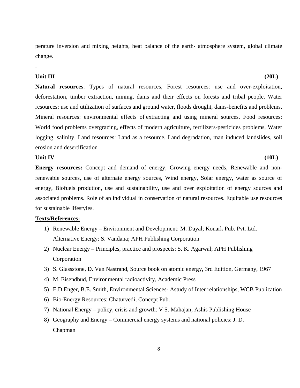perature inversion and mixing heights, heat balance of the earth- atmosphere system, global climate change.

#### **Unit III** (20L)

.

**Natural resources**: Types of natural resources, Forest resources: use and over-exploitation, deforestation, timber extraction, mining, dams and their effects on forests and tribal people. Water resources: use and utilization of surfaces and ground water, floods drought, dams-benefits and problems. Mineral resources: environmental effects of extracting and using mineral sources. Food resources: World food problems overgrazing, effects of modern agriculture, fertilizers-pesticides problems, Water logging, salinity. Land resources: Land as a resource, Land degradation, man induced landslides, soil erosion and desertification

#### **Unit IV** (10L)

**Energy resources:** Concept and demand of energy, Growing energy needs, Renewable and nonrenewable sources, use of alternate energy sources, Wind energy, Solar energy, water as source of energy, Biofuels prodution, use and sustainability, use and over exploitation of energy sources and associated problems. Role of an individual in conservation of natural resources. Equitable use resources for sustainable lifestyles.

#### **Texts/References:**

- 1) Renewable Energy Environment and Development: M. Dayal; Konark Pub. Pvt. Ltd. Alternative Energy: S. Vandana; APH Publishing Corporation
- 2) Nuclear Energy Principles, practice and prospects: S. K. Agarwal; APH Publishing Corporation
- 3) S. Glassstone, D. Van Nastrand, Source book on atomic energy, 3rd Edition, Germany, 1967
- 4) M. Eisendbud, Environmental radioactivity, Academic Press
- 5) E.D.Enger, B.E. Smith, Environmental Sciences- Astudy of Inter relationships, WCB Publication
- 6) Bio-Energy Resources: Chaturvedi; Concept Pub.
- 7) National Energy policy, crisis and growth: V S. Mahajan; Ashis Publishing House
- 8) Geography and Energy Commercial energy systems and national policies: J. D. Chapman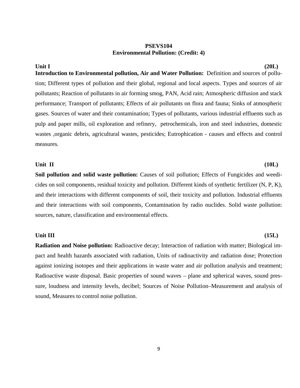#### **PSEVS104 Environmental Pollution: (Credit: 4)**

## **Unit I** (20L) **Introduction to Environmental pollution, Air and Water Pollution:** Definition and sources of pollution; Different types of pollution and their global, regional and local aspects. Types and sources of air pollutants; Reaction of pollutants in air forming smog, PAN, Acid rain; Atmospheric diffusion and stack performance; Transport of pollutants; Effects of air pollutants on flora and fauna; Sinks of atmospheric gases. Sources of water and their contamination; Types of pollutants, various industrial effluents such as pulp and paper mills, oil exploration and refinery, petrochemicals, iron and steel industries, domestic wastes ,organic debris, agricultural wastes, pesticides; Eutrophication - causes and effects and control measures.

#### Unit II (10L)

Soil pollution and solid waste pollution: Causes of soil pollution; Effects of Fungicides and weedicides on soil components, residual toxicity and pollution. Different kinds of synthetic fertilizer (N, P, K), and their interactions with different components of soil, their toxicity and pollution. Industrial effluents and their interactions with soil components, Contamination by radio nuclides. Solid waste pollution: sources, nature, classification and environmental effects.

#### **Unit III** (15L)

**Radiation and Noise pollution:** Radioactive decay; Interaction of radiation with matter; Biological impact and health hazards associated with radiation, Units of radioactivity and radiation dose; Protection against ionizing isotopes and their applications in waste water and air pollution analysis and treatment; Radioactive waste disposal. Basic properties of sound waves – plane and spherical waves, sound pressure, loudness and intensity levels, decibel; Sources of Noise Pollution–Measurement and analysis of sound, Measures to control noise pollution.

9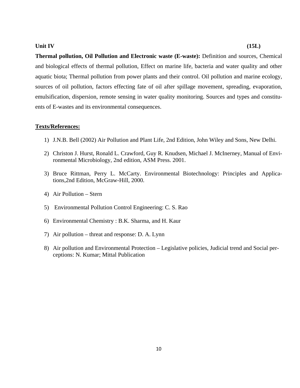#### **Unit IV** (15L)

**Thermal pollution, Oil Pollution and Electronic waste (E-waste):** Definition and sources, Chemical and biological effects of thermal pollution, Effect on marine life, bacteria and water quality and other aquatic biota; Thermal pollution from power plants and their control. Oil pollution and marine ecology, sources of oil pollution, factors effecting fate of oil after spillage movement, spreading, evaporation, emulsification, dispersion, remote sensing in water quality monitoring. Sources and types and constituents of E-wastes and its environmental consequences.

#### **Texts/References:**

- 1) J.N.B. Bell (2002) Air Pollution and Plant Life, 2nd Edition, John Wiley and Sons, New Delhi.
- 2) Christon J. Hurst, Ronald L. Crawford, Guy R. Knudsen, Michael J. McInerney, Manual of Environmental Microbiology, 2nd edition, ASM Press. 2001.
- 3) Bruce Rittman, Perry L. McCarty. Environmental Biotechnology: Principles and Applications,2nd Edition, McGraw-Hill, 2000.
- 4) Air Pollution Stern
- 5) Environmental Pollution Control Engineering: C. S. Rao
- 6) Environmental Chemistry : B.K. Sharma, and H. Kaur
- 7) Air pollution threat and response: D. A. Lynn
- 8) Air pollution and Environmental Protection Legislative policies, Judicial trend and Social perceptions: N. Kumar; Mittal Publication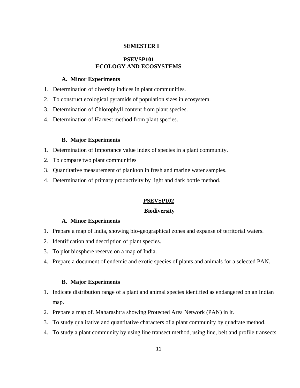#### **SEMESTER I**

#### **PSEVSP101 ECOLOGY AND ECOSYSTEMS**

#### **A. Minor Experiments**

- 1. Determination of diversity indices in plant communities.
- 2. To construct ecological pyramids of population sizes in ecosystem.
- 3. Determination of Chlorophyll content from plant species.
- 4. Determination of Harvest method from plant species.

#### **B. Major Experiments**

- 1. Determination of Importance value index of species in a plant community.
- 2. To compare two plant communities
- 3. Quantitative measurement of plankton in fresh and marine water samples.
- 4. Determination of primary productivity by light and dark bottle method.

#### **PSEVSP102**

#### **Biodiversity**

#### **A. Minor Experiments**

- 1. Prepare a map of India, showing bio-geographical zones and expanse of territorial waters.
- 2. Identification and description of plant species.
- 3. To plot biosphere reserve on a map of India.
- 4. Prepare a document of endemic and exotic species of plants and animals for a selected PAN.

#### **B. Major Experiments**

- 1. Indicate distribution range of a plant and animal species identified as endangered on an Indian map.
- 2. Prepare a map of. Maharashtra showing Protected Area Network (PAN) in it.
- 3. To study qualitative and quantitative characters of a plant community by quadrate method.
- 4. To study a plant community by using line transect method, using line, belt and profile transects.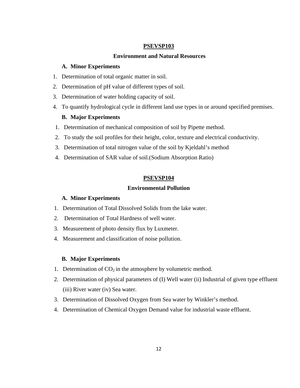#### **PSEVSP103**

#### **Environment and Natural Resources**

#### **A. Minor Experiments**

- 1. Determination of total organic matter in soil.
- 2. Determination of pH value of different types of soil.
- 3. Determination of water holding capacity of soil.
- 4. To quantify hydrological cycle in different land use types in or around specified premises.

#### **B. Major Experiments**

- 1. Determination of mechanical composition of soil by Pipette method.
- 2. To study the soil profiles for their height, color, texture and electrical conductivity.
- 3. Determination of total nitrogen value of the soil by Kjeldahl's method
- 4. Determination of SAR value of soil.(Sodium Absorption Ratio)

#### **PSEVSP104**

#### **Environmental Pollution**

#### **A. Minor Experiments**

- 1. Determination of Total Dissolved Solids from the lake water.
- 2. Determination of Total Hardness of well water.
- 3. Measurement of photo density flux by Luxmeter.
- 4. Measurement and classification of noise pollution.

#### **B. Major Experiments**

- 1. Determination of  $CO<sub>2</sub>$  in the atmosphere by volumetric method.
- 2. Determination of physical parameters of (I) Well water (ii) Industrial of given type effluent (iii) River water (iv) Sea water.
- 3. Determination of Dissolved Oxygen from Sea water by Winkler's method.
- 4. Determination of Chemical Oxygen Demand value for industrial waste effluent.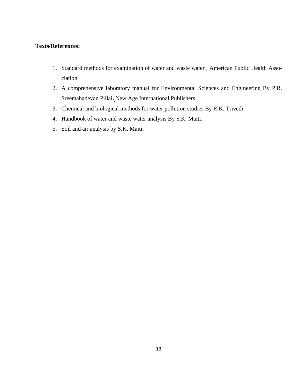### **Texts/References:**

- 1. Standard methods for examination of water and waste water , American Public Health Association.
- 2. A comprehensive laboratory manual for Environmental Sciences and Engineering By P.R. Sreemahadevan Pillai**.** New Age International Publishers.
- 3. Chemical and biological methods for water pollution studies By R.K. Trivedi
- 4. Handbook of water and waste water analysis By S.K. Maiti.
- 5. Soil and air analysis by S.K. Maiti.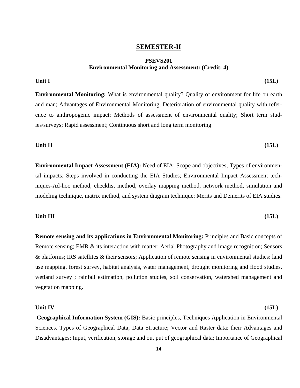#### **SEMESTER-II**

#### **PSEVS201 Environmental Monitoring and Assessment: (Credit: 4)**

#### Unit I (15L)

**Environmental Monitoring:** What is environmental quality? Quality of environment for life on earth and man; Advantages of Environmental Monitoring, Deterioration of environmental quality with reference to anthropogenic impact; Methods of assessment of environmental quality; Short term studies/surveys; Rapid assessment; Continuous short and long term monitoring

#### **Unit II** (15L)

**Environmental Impact Assessment (EIA):** Need of EIA; Scope and objectives; Types of environmental impacts; Steps involved in conducting the EIA Studies; Environmental Impact Assessment techniques-Ad-hoc method, checklist method, overlay mapping method, network method, simulation and modeling technique, matrix method, and system diagram technique; Merits and Demerits of EIA studies.

#### **Unit III** (15L)

**Remote sensing and its applications in Environmental Monitoring:** Principles and Basic concepts of Remote sensing; EMR & its interaction with matter; Aerial Photography and image recognition; Sensors & platforms; IRS satellites & their sensors; Application of remote sensing in environmental studies: land use mapping, forest survey, habitat analysis, water management, drought monitoring and flood studies, wetland survey ; rainfall estimation, pollution studies, soil conservation, watershed management and vegetation mapping.

#### **Unit IV** (15L)

 **Geographical Information System (GIS):** Basic principles, Techniques Application in Environmental Sciences. Types of Geographical Data; Data Structure; Vector and Raster data: their Advantages and Disadvantages; Input, verification, storage and out put of geographical data; Importance of Geographical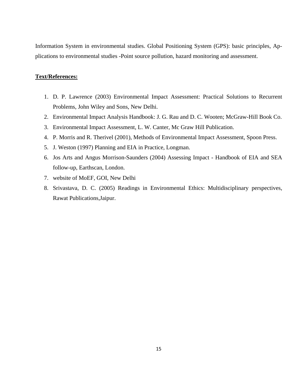Information System in environmental studies. Global Positioning System (GPS): basic principles, Applications to environmental studies -Point source pollution, hazard monitoring and assessment.

#### **Text/References:**

- 1. D. P. Lawrence (2003) Environmental Impact Assessment: Practical Solutions to Recurrent Problems, John Wiley and Sons, New Delhi.
- 2. Environmental Impact Analysis Handbook: J. G. Rau and D. C. Wooten; McGraw-Hill Book Co.
- 3. Environmental Impact Assessment, L. W. Canter, Mc Graw Hill Publication.
- 4. P. Morris and R. Therivel (2001), Methods of Environmental Impact Assessment, Spoon Press.
- 5. J. Weston (1997) Planning and EIA in Practice, Longman.
- 6. Jos Arts and Angus Morrison-Saunders (2004) Assessing Impact Handbook of EIA and SEA follow-up, Earthscan, London.
- 7. website of MoEF, GOI, New Delhi
- 8. Srivastava, D. C. (2005) Readings in Environmental Ethics: Multidisciplinary perspectives, Rawat Publications,Jaipur.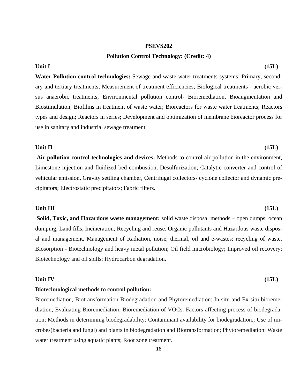#### **PSEVS202**

#### **Pollution Control Technology: (Credit: 4)**

**Water Pollution control technologies:** Sewage and waste water treatments systems; Primary, secondary and tertiary treatments; Measurement of treatment efficiencies; Biological treatments - aerobic versus anaerobic treatments; Environmental pollution control- Bioremediation, Bioaugmentation and Biostimulation; Biofilms in treatment of waste water; Bioreactors for waste water treatments; Reactors types and design; Reactors in series; Development and optimization of membrane bioreactor process for use in sanitary and industrial sewage treatment.

#### **Unit II** (15L)

 **Air pollution control technologies and devices:** Methods to control air pollution in the environment, Limestone injection and fluidized bed combustion, Desulfurization; Catalytic converter and control of vehicular emission, Gravity settling chamber, Centrifugal collectors- cyclone collector and dynamic precipitators; Electrostatic precipitators; Fabric filters.

#### **Unit III** (15L)

 **Solid, Toxic, and Hazardous waste management:** solid waste disposal methods – open dumps, ocean dumping, Land fills, Incineration; Recycling and reuse. Organic pollutants and Hazardous waste disposal and management. Management of Radiation, noise, thermal, oil and e-wastes: recycling of waste. Biosorption - Biotechnology and heavy metal pollution; Oil field microbiology; Improved oil recovery; Biotechnology and oil spills; Hydrocarbon degradation.

#### **Unit IV** (15L)

#### **Biotechnological methods to control pollution:**

Bioremediation, Biotransformation Biodegradation and Phytoremediation: In situ and Ex situ bioremediation; Evaluating Bioremediation; Bioremediation of VOCs. Factors affecting process of biodegradation; Methods in determining biodegradability; Contaminant availability for biodegradation.; Use of microbes(bacteria and fungi) and plants in biodegradation and Biotransformation; Phytoremediation: Waste water treatment using aquatic plants; Root zone treatment.

**Unit I** (15L)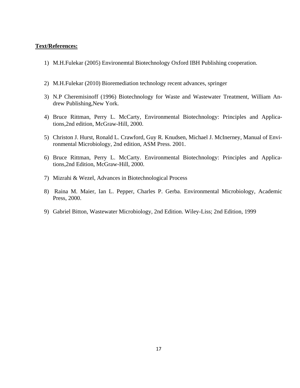#### **Text/References:**

- 1) M.H.Fulekar (2005) Environemtal Biotechnology Oxford IBH Publishing cooperation.
- 2) M.H.Fulekar (2010) Bioremediation technology recent advances, springer
- 3) N.P Cheremisinoff (1996) Biotechnology for Waste and Wastewater Treatment, William Andrew Publishing,New York.
- 4) Bruce Rittman, Perry L. McCarty, Environmental Biotechnology: Principles and Applications,2nd edition, McGraw-Hill, 2000.
- 5) Christon J. Hurst, Ronald L. Crawford, Guy R. Knudsen, Michael J. McInerney, Manual of Environmental Microbiology, 2nd edition, ASM Press. 2001.
- 6) Bruce Rittman, Perry L. McCarty. Environmental Biotechnology: Principles and Applications,2nd Edition, McGraw-Hill, 2000.
- 7) Mizrahi & Wezel, Advances in Biotechnological Process
- 8) Raina M. Maier, Ian L. Pepper, Charles P. Gerba. Environmental Microbiology, Academic Press, 2000.
- 9) Gabriel Bitton, Wastewater Microbiology, 2nd Edition. Wiley-Liss; 2nd Edition, 1999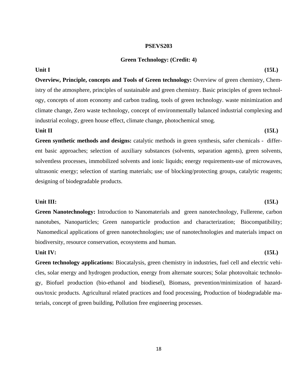#### **PSEVS203**

#### **Green Technology: (Credit: 4)**

## **Overview, Principle, concepts and Tools of Green technology:** Overview of green chemistry, Chemistry of the atmosphere, principles of sustainable and green chemistry. Basic principles of green technology, concepts of atom economy and carbon trading, tools of green technology. waste minimization and climate change, Zero waste technology, concept of environmentally balanced industrial complexing and industrial ecology, green house effect, climate change, photochemical smog.

#### **Unit II** (15L)

**Green synthetic methods and designs:** catalytic methods in green synthesis, safer chemicals - different basic approaches; selection of auxiliary substances (solvents, separation agents), green solvents, solventless processes, immobilized solvents and ionic liquids; energy requirements-use of microwaves, ultrasonic energy; selection of starting materials; use of blocking/protecting groups, catalytic reagents; designing of biodegradable products.

#### **Unit III:** (15L)

**Green Nanotechnology:** Introduction to Nanomaterials and green nanotechnology, Fullerene, carbon nanotubes, Nanoparticles; Green nanoparticle production and characterization; Biocompatibility; Nanomedical applications of green nanotechnologies; use of nanotechnologies and materials impact on biodiversity, resource conservation, ecosystems and human.

#### **Unit IV:** (15L)

**Green technology applications:** Biocatalysis, green chemistry in industries, fuel cell and electric vehicles, solar energy and hydrogen production, energy from alternate sources; Solar photovoltaic technology, Biofuel production (bio-ethanol and biodiesel), Biomass, prevention/minimization of hazardous/toxic products. Agricultural related practices and food processing, Production of biodegradable materials, concept of green building, Pollution free engineering processes.

#### **Unit I** (15L)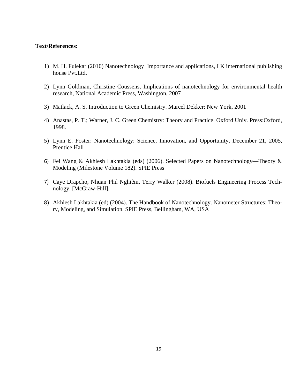#### **Text/References:**

- 1) M. H. Fulekar (2010) Nanotechnology Importance and applications, I K international publishing house Pvt.Ltd.
- 2) Lynn Goldman, Christine Coussens, Implications of nanotechnology for environmental health research, National Academic Press, Washington, 2007
- 3) Matlack, A. S. Introduction to Green Chemistry. Marcel Dekker: New York, 2001
- 4) Anastas, P. T.; Warner, J. C. Green Chemistry: Theory and Practice. Oxford Univ. Press:Oxford, 1998.
- 5) Lynn E. Foster: Nanotechnology: Science, Innovation, and Opportunity, December 21, 2005, Prentice Hall
- 6) Fei Wang & Akhlesh Lakhtakia (eds) (2006). Selected Papers on Nanotechnology—Theory & Modeling (Milestone Volume 182). SPIE Press
- 7) Caye Drapcho, Nhuan Phú Nghiêm, Terry Walker (2008). Biofuels Engineering Process Technology. [McGraw-Hill].
- 8) Akhlesh Lakhtakia (ed) (2004). The Handbook of Nanotechnology. Nanometer Structures: Theory, Modeling, and Simulation. SPIE Press, Bellingham, WA, USA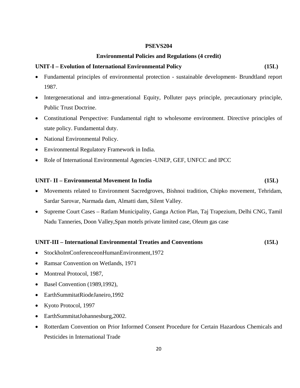#### **PSEVS204**

#### **Environmental Policies and Regulations (4 credit)**

#### **UNIT-I – Evolution of International Environmental Policy (15L)**

- Fundamental principles of environmental protection sustainable development- Brundtland report 1987.
- Intergenerational and intra-generational Equity, Polluter pays principle, precautionary principle, Public Trust Doctrine.
- Constitutional Perspective: Fundamental right to wholesome environment. Directive principles of state policy. Fundamental duty.
- National Environmental Policy.
- Environmental Regulatory Framework in India.
- Role of International Environmental Agencies -UNEP, GEF, UNFCC and IPCC

#### **UNIT- II – Environmental Movement In India (15L)**

- Movements related to Environment Sacredgroves, Bishnoi tradition, Chipko movement, Tehridam, Sardar Sarovar, Narmada dam, Almatti dam, Silent Valley.
- Supreme Court Cases Ratlam Municipality, Ganga Action Plan, Taj Trapezium, Delhi CNG, Tamil Nadu Tanneries, Doon Valley,Span motels private limited case, Oleum gas case

#### **UNIT-III – International Environmental Treaties and Conventions (15L)**

- StockholmConferenceonHumanEnvironment,1972
- Ramsar Convention on Wetlands, 1971
- Montreal Protocol, 1987,
- Basel Convention (1989, 1992),
- EarthSummitatRiodeJaneiro,1992
- Kyoto Protocol, 1997
- EarthSummitatJohannesburg, 2002.
- Rotterdam Convention on Prior Informed Consent Procedure for Certain Hazardous Chemicals and Pesticides in International Trade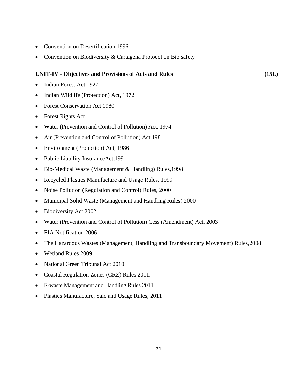- Convention on Desertification 1996
- Convention on Biodiversity & Cartagena Protocol on Bio safety

#### **UNIT-IV - Objectives and Provisions of Acts and Rules (15L)**

- Indian Forest Act 1927
- Indian Wildlife (Protection) Act, 1972
- Forest Conservation Act 1980
- Forest Rights Act
- Water (Prevention and Control of Pollution) Act, 1974
- Air (Prevention and Control of Pollution) Act 1981
- Environment (Protection) Act, 1986
- Public Liability InsuranceAct, 1991
- Bio-Medical Waste (Management & Handling) Rules, 1998
- Recycled Plastics Manufacture and Usage Rules, 1999
- Noise Pollution (Regulation and Control) Rules, 2000
- Municipal Solid Waste (Management and Handling Rules) 2000
- Biodiversity Act 2002
- Water (Prevention and Control of Pollution) Cess (Amendment) Act, 2003
- EIA Notification 2006
- The Hazardous Wastes (Management, Handling and Transboundary Movement) Rules,2008
- Wetland Rules 2009
- National Green Tribunal Act 2010
- Coastal Regulation Zones (CRZ) Rules 2011.
- E-waste Management and Handling Rules 2011
- Plastics Manufacture, Sale and Usage Rules, 2011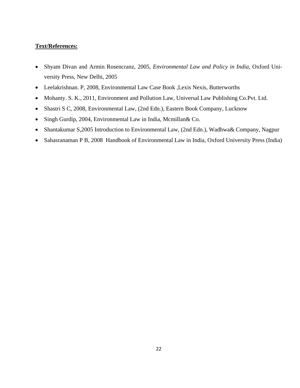### **Text/References:**

- Shyam Divan and Armin Rosencranz, 2005, *Environmental Law and Policy in India,* Oxford University Press, New Delhi, 2005
- Leelakrishnan. P, 2008, Environmental Law Case Book ,Lexis Nexis, Butterworths
- Mohanty. S. K., 2011, Environment and Pollution Law, Universal Law Publishing Co.Pvt. Ltd.
- Shastri S C, 2008, Environmental Law, (2nd Edn.), Eastern Book Company, Lucknow
- Singh Gurdip, 2004, Environmental Law in India, Mcmillan& Co.
- Shantakumar S,2005 Introduction to Environmental Law, (2nd Edn.), Wadhwa& Company, Nagpur
- Sahasranaman P B, 2008 Handbook of Environmental Law in India, Oxford University Press (India)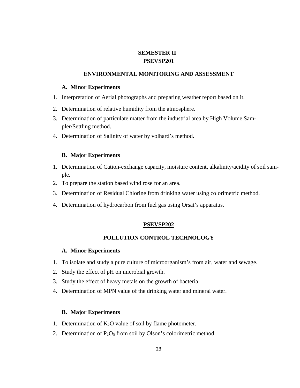### **SEMESTER II PSEVSP201**

#### **ENVIRONMENTAL MONITORING AND ASSESSMENT**

#### **A. Minor Experiments**

- 1. Interpretation of Aerial photographs and preparing weather report based on it.
- 2. Determination of relative humidity from the atmosphere.
- 3. Determination of particulate matter from the industrial area by High Volume Sampler/Settling method.
- 4. Determination of Salinity of water by volhard's method.

#### **B. Major Experiments**

- 1. Determination of Cation-exchange capacity, moisture content, alkalinity/acidity of soil sample.
- 2. To prepare the station based wind rose for an area.
- 3. Determination of Residual Chlorine from drinking water using colorimetric method.
- 4. Determination of hydrocarbon from fuel gas using Orsat's apparatus.

#### **PSEVSP202**

### **POLLUTION CONTROL TECHNOLOGY**

### **A. Minor Experiments**

- 1. To isolate and study a pure culture of microorganism's from air, water and sewage.
- 2. Study the effect of pH on microbial growth.
- 3. Study the effect of heavy metals on the growth of bacteria.
- 4. Determination of MPN value of the drinking water and mineral water.

#### **B. Major Experiments**

- 1. Determination of  $K_2O$  value of soil by flame photometer.
- 2. Determination of  $P_2O_5$  from soil by Olson's colorimetric method.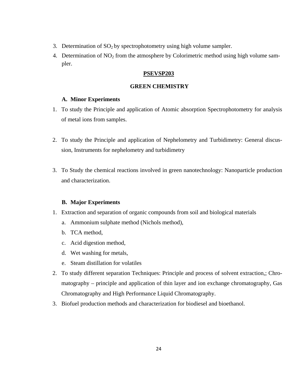- 3. Determination of  $SO_2$  by spectrophotometry using high volume sampler.
- 4. Determination of  $NO<sub>2</sub>$  from the atmosphere by Colorimetric method using high volume sampler.

#### **PSEVSP203**

#### **GREEN CHEMISTRY**

#### **A. Minor Experiments**

- 1. To study the Principle and application of Atomic absorption Spectrophotometry for analysis of metal ions from samples.
- 2. To study the Principle and application of Nephelometry and Turbidimetry: General discussion, Instruments for nephelometry and turbidimetry
- 3. To Study the chemical reactions involved in green nanotechnology: Nanoparticle production and characterization.

#### **B. Major Experiments**

- 1. Extraction and separation of organic compounds from soil and biological materials
	- a. Ammonium sulphate method (Nichols method),
	- b. TCA method,
	- c. Acid digestion method,
	- d. Wet washing for metals,
	- e. Steam distillation for volatiles
- 2. To study different separation Techniques: Principle and process of solvent extraction,; Chromatography – principle and application of thin layer and ion exchange chromatography, Gas Chromatography and High Performance Liquid Chromatography.
- 3. Biofuel production methods and characterization for biodiesel and bioethanol.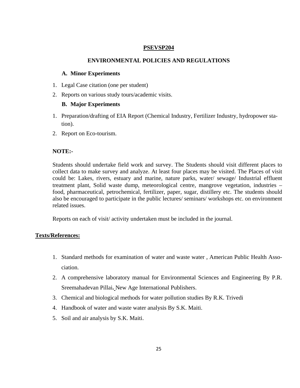#### **PSEVSP204**

#### **ENVIRONMENTAL POLICIES AND REGULATIONS**

#### **A. Minor Experiments**

- 1. Legal Case citation (one per student)
- 2. Reports on various study tours/academic visits.

#### **B. Major Experiments**

- 1. Preparation/drafting of EIA Report (Chemical Industry, Fertilizer Industry, hydropower station).
- 2. Report on Eco-tourism.

#### **NOTE:-**

Students should undertake field work and survey. The Students should visit different places to collect data to make survey and analyze. At least four places may be visited. The Places of visit could be: Lakes, rivers, estuary and marine, nature parks, water/ sewage/ Industrial effluent treatment plant, Solid waste dump, meteorological centre, mangrove vegetation, industries – food, pharmaceutical, petrochemical, fertilizer, paper, sugar, distillery etc. The students should also be encouraged to participate in the public lectures/ seminars/ workshops etc. on environment related issues.

Reports on each of visit/ activity undertaken must be included in the journal.

#### **Texts/References:**

- 1. Standard methods for examination of water and waste water , American Public Health Association.
- 2. A comprehensive laboratory manual for Environmental Sciences and Engineering By P.R. Sreemahadevan Pillai**.** New Age International Publishers.
- 3. Chemical and biological methods for water pollution studies By R.K. Trivedi
- 4. Handbook of water and waste water analysis By S.K. Maiti.
- 5. Soil and air analysis by S.K. Maiti.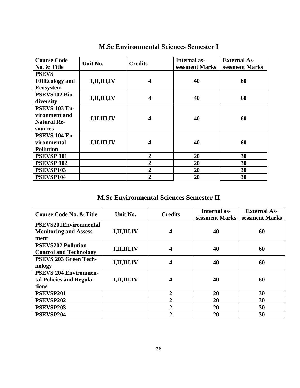| <b>Course Code</b><br>No. & Title | Unit No.       | <b>Credits</b> | Internal as-<br>sessment Marks | <b>External As-</b><br>sessment Marks |  |
|-----------------------------------|----------------|----------------|--------------------------------|---------------------------------------|--|
| <b>PSEVS</b>                      |                |                |                                |                                       |  |
| 101Ecology and                    | I, II, III, IV | 4              | 40                             | 60                                    |  |
| <b>Ecosystem</b>                  |                |                |                                |                                       |  |
| PSEVS102 Bio-                     |                | 4              |                                | 60                                    |  |
| diversity                         | I,II,III,IV    |                | 40                             |                                       |  |
| <b>PSEVS 103 En-</b>              |                |                |                                |                                       |  |
| vironment and                     | I,II,III,IV    | 4              | 40                             | 60                                    |  |
| <b>Natural Re-</b>                |                |                |                                |                                       |  |
| sources                           |                |                |                                |                                       |  |
| <b>PSEVS 104 En-</b>              |                |                |                                |                                       |  |
| vironmental                       | I, II, III, IV | 4              | 40                             | 60                                    |  |
| <b>Pollution</b>                  |                |                |                                |                                       |  |
| <b>PSEVSP 101</b>                 |                | $\overline{2}$ | 20                             | 30                                    |  |
| <b>PSEVSP 102</b>                 |                | $\overline{2}$ | 20                             | 30                                    |  |
| PSEVSP103                         |                | $\overline{2}$ | 20                             | 30                                    |  |
| PSEVSP104                         |                | $\overline{2}$ | 20                             | 30                                    |  |

## **M.Sc Environmental Sciences Semester I**

## **M.Sc Environmental Sciences Semester II**

| <b>Course Code No. &amp; Title</b>    | Unit No.    | <b>Credits</b> | <b>Internal as-</b><br>sessment Marks | <b>External As-</b><br>sessment Marks |
|---------------------------------------|-------------|----------------|---------------------------------------|---------------------------------------|
| <b>PSEVS201Environmental</b>          |             |                |                                       |                                       |
| <b>Monitoring and Assess-</b><br>ment | I,II,III,IV | 4              | 40                                    | 60                                    |
| <b>PSEVS202 Pollution</b>             | I,II,III,IV | 4              | 40                                    | 60                                    |
| <b>Control and Technology</b>         |             |                |                                       |                                       |
| <b>PSEVS 203 Green Tech-</b>          | I,II,III,IV | 4              | 40                                    | 60                                    |
| nology                                |             |                |                                       |                                       |
| <b>PSEVS 204 Environmen-</b>          |             |                |                                       |                                       |
| tal Policies and Regula-              | I,II,III,IV | 4              | 40                                    | 60                                    |
| tions                                 |             |                |                                       |                                       |
| PSEVSP201                             |             | $\overline{2}$ | 20                                    | 30                                    |
| PSEVSP202                             |             | $\overline{2}$ | 20                                    | 30                                    |
| PSEVSP203                             |             | $\overline{2}$ | 20                                    | 30                                    |
| PSEVSP204                             |             | $\mathbf{2}$   | 20                                    | 30                                    |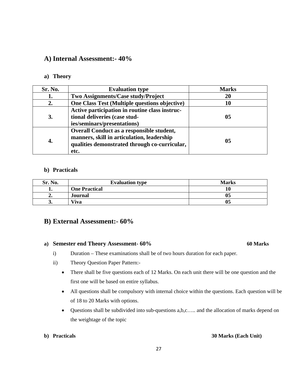### **A) Internal Assessment:- 40%**

#### **a) Theory**

| Sr. No.   | <b>Evaluation type</b>                                                                                                                           | <b>Marks</b> |
|-----------|--------------------------------------------------------------------------------------------------------------------------------------------------|--------------|
|           | Two Assignments/Case study/Project                                                                                                               | 20           |
| 2.        | One Class Test (Multiple questions objective)                                                                                                    | 10           |
| <b>3.</b> | Active participation in routine class instruc-<br>tional deliveries (case stud-<br>ies/seminars/presentations)                                   | 05           |
| 4.        | Overall Conduct as a responsible student,<br>manners, skill in articulation, leadership<br>qualities demonstrated through co-curricular,<br>etc. | 05           |

#### **b) Practicals**

| Sr. No. | <b>Evaluation type</b> | <b>Marks</b> |
|---------|------------------------|--------------|
|         | <b>One Practical</b>   | 10           |
| "       | Journal                | 05           |
| J.      | Viva                   | 05           |

### **B) External Assessment:- 60%**

#### a) **Semester end Theory Assessment- 60%** 60 Marks

- i) Duration These examinations shall be of two hours duration for each paper.
- ii) Theory Question Paper Pattern:-
	- There shall be five questions each of 12 Marks. On each unit there will be one question and the first one will be based on entire syllabus.
	- All questions shall be compulsory with internal choice within the questions. Each question will be of 18 to 20 Marks with options.
	- Questions shall be subdivided into sub-questions a, b, c.... and the allocation of marks depend on the weightage of the topic

#### **b) Practicals 30 Marks (Each Unit)**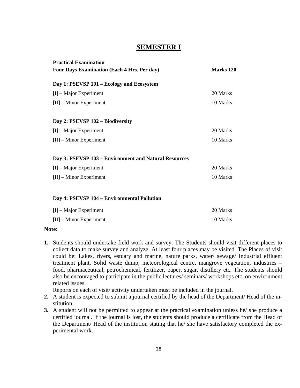## **SEMESTER I**

| <b>Practical Examination</b>                          |                  |
|-------------------------------------------------------|------------------|
| <b>Four Days Examination (Each 4 Hrs. Per day)</b>    | <b>Marks 120</b> |
| Day 1: PSEVSP 101 – Ecology and Ecosystem             |                  |
| $[I]$ – Major Experiment                              | 20 Marks         |
| $[II]$ – Minor Experiment                             | 10 Marks         |
| Day 2: PSEVSP 102 - Biodiversity                      |                  |
| $[I]$ – Major Experiment                              | 20 Marks         |
| $[II]$ – Minor Experiment                             | 10 Marks         |
| Day 3: PSEVSP 103 - Environment and Natural Resources |                  |
| $[I]$ – Major Experiment                              | 20 Marks         |
| $[II]$ – Minor Experiment                             | 10 Marks         |
| Day 4: PSEVSP 104 - Environmental Pollution           |                  |
| $[I]$ – Major Experiment                              | 20 Marks         |
| $[II]$ – Minor Experiment                             | 10 Marks         |

#### **Note:**

**1.** Students should undertake field work and survey. The Students should visit different places to collect data to make survey and analyze. At least four places may be visited. The Places of visit could be: Lakes, rivers, estuary and marine, nature parks, water/ sewage/ Industrial effluent treatment plant, Solid waste dump, meteorological centre, mangrove vegetation, industries – food, pharmaceutical, petrochemical, fertilizer, paper, sugar, distillery etc. The students should also be encouraged to participate in the public lectures/ seminars/ workshops etc. on environment related issues.

Reports on each of visit/ activity undertaken must be included in the journal.

- **2.** A student is expected to submit a journal certified by the head of the Department/ Head of the institution.
- **3.** A student will not be permitted to appear at the practical examination unless he/ she produce a certified journal. If the journal is lost, the students should produce a certificate from the Head of the Department/ Head of the institution stating that he/ she have satisfactory completed the experimental work.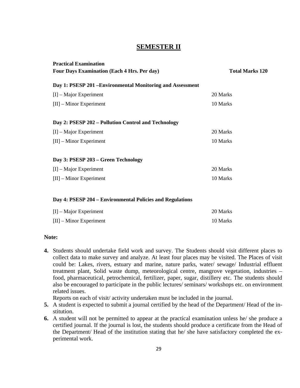## **SEMESTER II**

| <b>Practical Examination</b><br><b>Four Days Examination (Each 4 Hrs. Per day)</b> | <b>Total Marks 120</b> |
|------------------------------------------------------------------------------------|------------------------|
|                                                                                    |                        |
| Day 1: PSESP 201 – Environmental Monitoring and Assessment                         |                        |
| $[I]$ – Major Experiment                                                           | 20 Marks               |
| $[II]$ – Minor Experiment                                                          | 10 Marks               |
|                                                                                    |                        |
| Day 2: PSESP 202 – Pollution Control and Technology                                |                        |
| $[I]$ – Major Experiment                                                           | 20 Marks               |
| $[II]$ – Minor Experiment                                                          | 10 Marks               |
|                                                                                    |                        |
| Day 3: PSESP 203 – Green Technology                                                |                        |
| $[I]$ – Major Experiment                                                           | 20 Marks               |
| $[II]$ – Minor Experiment                                                          | 10 Marks               |
|                                                                                    |                        |
| Day 4: PSESP 204 – Environmental Policies and Regulations                          |                        |

| $[I]$ – Major Experiment  | 20 Marks |
|---------------------------|----------|
| $[II]$ – Minor Experiment | 10 Marks |

### **Note:**

**4.** Students should undertake field work and survey. The Students should visit different places to collect data to make survey and analyze. At least four places may be visited. The Places of visit could be: Lakes, rivers, estuary and marine, nature parks, water/ sewage/ Industrial effluent treatment plant, Solid waste dump, meteorological centre, mangrove vegetation, industries – food, pharmaceutical, petrochemical, fertilizer, paper, sugar, distillery etc. The students should also be encouraged to participate in the public lectures/ seminars/ workshops etc. on environment related issues.

Reports on each of visit/ activity undertaken must be included in the journal.

- **5.** A student is expected to submit a journal certified by the head of the Department/ Head of the institution.
- **6.** A student will not be permitted to appear at the practical examination unless he/ she produce a certified journal. If the journal is lost, the students should produce a certificate from the Head of the Department/ Head of the institution stating that he/ she have satisfactory completed the experimental work.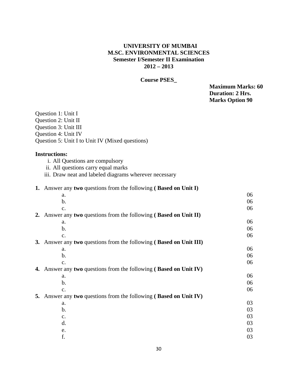### **UNIVERSITY OF MUMBAI M.SC. ENVIRONMENTAL SCIENCES Semester I/Semester II Examination 2012 – 2013**

### **Course PSES\_**

**Maximum Marks: 60 Duration: 2 Hrs. Marks Option 90** 

| Question 1: Unit I<br>Question 2: Unit II<br>Question 3: Unit III<br>Question 4: Unit IV<br>Question 5: Unit I to Unit IV (Mixed questions) |    |
|---------------------------------------------------------------------------------------------------------------------------------------------|----|
|                                                                                                                                             |    |
| <b>Instructions:</b>                                                                                                                        |    |
| i. All Questions are compulsory                                                                                                             |    |
| ii. All questions carry equal marks                                                                                                         |    |
| iii. Draw neat and labeled diagrams wherever necessary                                                                                      |    |
| 1. Answer any two questions from the following (Based on Unit I)                                                                            |    |
| a.                                                                                                                                          | 06 |
| $b$ .                                                                                                                                       | 06 |
| $\mathbf{c}$ .                                                                                                                              | 06 |
| 2. Answer any two questions from the following (Based on Unit II)                                                                           |    |
| a.                                                                                                                                          | 06 |
| $\mathbf b$ .                                                                                                                               | 06 |
| C <sub>1</sub>                                                                                                                              | 06 |
| 3. Answer any two questions from the following (Based on Unit III)                                                                          |    |
| a.                                                                                                                                          | 06 |
| $\mathbf{b}$ .                                                                                                                              | 06 |
| $\mathbf{c}$ .                                                                                                                              | 06 |
| 4. Answer any two questions from the following (Based on Unit IV)                                                                           |    |
| a.                                                                                                                                          | 06 |
| $\mathbf b$ .                                                                                                                               | 06 |
| $\mathbf{C}$ .                                                                                                                              | 06 |
| 5. Answer any two questions from the following (Based on Unit IV)                                                                           |    |
| a.                                                                                                                                          | 03 |
| $\mathbf b$ .                                                                                                                               | 03 |
| $\mathbf{c}$ .                                                                                                                              | 03 |
| $\mathbf{d}$ .                                                                                                                              | 03 |
| e.                                                                                                                                          | 03 |
| f.                                                                                                                                          |    |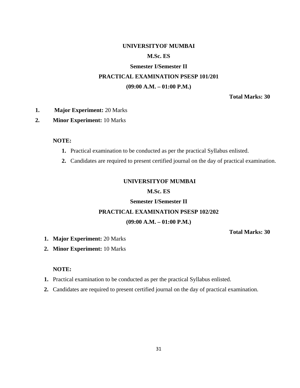### **UNIVERSITYOF MUMBAI**

#### **M.Sc. ES**

## **Semester I/Semester II PRACTICAL EXAMINATION PSESP 101/201 (09:00 A.M. – 01:00 P.M.)**

**Total Marks: 30** 

#### **1. Major Experiment:** 20 Marks

### **2. Minor Experiment:** 10 Marks

#### **NOTE:**

- **1.** Practical examination to be conducted as per the practical Syllabus enlisted.
- **2.** Candidates are required to present certified journal on the day of practical examination.

#### **UNIVERSITYOF MUMBAI**

#### **M.Sc. ES**

## **Semester I/Semester II**

### **PRACTICAL EXAMINATION PSESP 102/202**

#### **(09:00 A.M. – 01:00 P.M.)**

### **Total Marks: 30**

- **1. Major Experiment:** 20 Marks
- **2. Minor Experiment:** 10 Marks

#### **NOTE:**

- **1.** Practical examination to be conducted as per the practical Syllabus enlisted.
- **2.** Candidates are required to present certified journal on the day of practical examination.